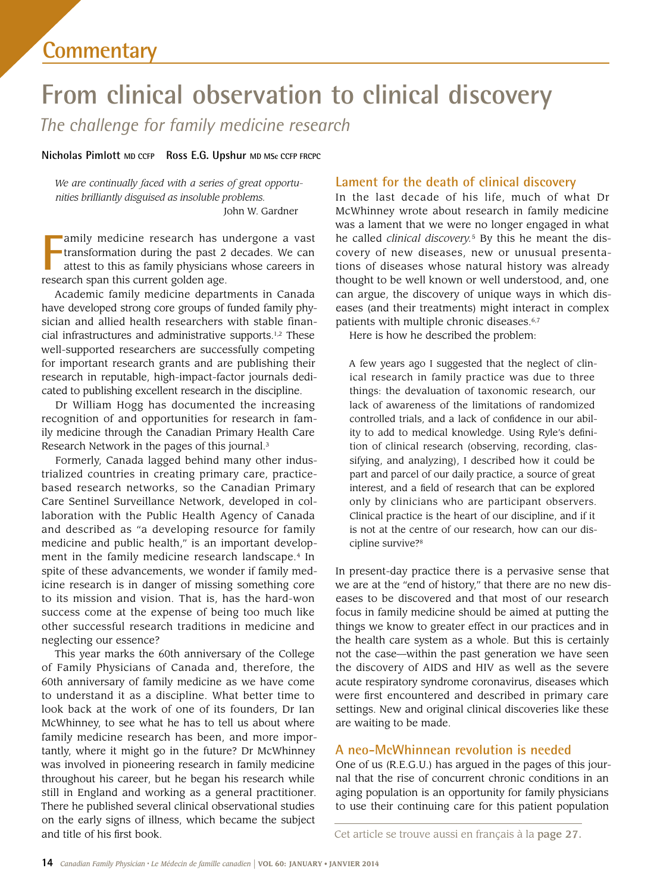# **From clinical observation to clinical discovery**

*The challenge for family medicine research* 

**Nicholas Pimlott MD CCFP Ross E.G. Upshur MD MSc CCFP FRCPC** 

*We are continually faced with a series of great opportunities brilliantly disguised as insoluble problems.* John W. Gardner

**Franch Span Exerch Span in the span than the past 2 attest to this as family physicians research span this current golden age.** amily medicine research has undergone a vast transformation during the past 2 decades. We can attest to this as family physicians whose careers in

Academic family medicine departments in Canada have developed strong core groups of funded family physician and allied health researchers with stable financial infrastructures and administrative supports.1,2 These well-supported researchers are successfully competing for important research grants and are publishing their research in reputable, high-impact-factor journals dedicated to publishing excellent research in the discipline.

Dr William Hogg has documented the increasing recognition of and opportunities for research in family medicine through the Canadian Primary Health Care Research Network in the pages of this journal.<sup>3</sup>

 medicine and public health," is an important develop-Formerly, Canada lagged behind many other industrialized countries in creating primary care, practicebased research networks, so the Canadian Primary Care Sentinel Surveillance Network, developed in collaboration with the Public Health Agency of Canada and described as "a developing resource for family ment in the family medicine research landscape.<sup>4</sup> In spite of these advancements, we wonder if family medicine research is in danger of missing something core to its mission and vision. That is, has the hard-won success come at the expense of being too much like other successful research traditions in medicine and neglecting our essence?

This year marks the 60th anniversary of the College of Family Physicians of Canada and, therefore, the 60th anniversary of family medicine as we have come to understand it as a discipline. What better time to look back at the work of one of its founders, Dr Ian McWhinney, to see what he has to tell us about where family medicine research has been, and more importantly, where it might go in the future? Dr McWhinney was involved in pioneering research in family medicine throughout his career, but he began his research while still in England and working as a general practitioner. There he published several clinical observational studies on the early signs of illness, which became the subject and title of his frst book.

## **Lament for the death of clinical discovery**

In the last decade of his life, much of what Dr McWhinney wrote about research in family medicine was a lament that we were no longer engaged in what he called *clinical discovery.*5 By this he meant the discovery of new diseases, new or unusual presentations of diseases whose natural history was already thought to be well known or well understood, and, one can argue, the discovery of unique ways in which diseases (and their treatments) might interact in complex patients with multiple chronic diseases.<sup>6,7</sup>

Here is how he described the problem:

 lack of awareness of the limitations of randomized A few years ago I suggested that the neglect of clinical research in family practice was due to three things: the devaluation of taxonomic research, our controlled trials, and a lack of confdence in our ability to add to medical knowledge. Using Ryle's defnition of clinical research (observing, recording, classifying, and analyzing), I described how it could be part and parcel of our daily practice, a source of great interest, and a feld of research that can be explored only by clinicians who are participant observers. Clinical practice is the heart of our discipline, and if it is not at the centre of our research, how can our discipline survive?8

In present-day practice there is a pervasive sense that we are at the "end of history," that there are no new diseases to be discovered and that most of our research focus in family medicine should be aimed at putting the things we know to greater effect in our practices and in the health care system as a whole. But this is certainly not the case—within the past generation we have seen the discovery of AIDS and HIV as well as the severe acute respiratory syndrome coronavirus, diseases which were frst encountered and described in primary care settings. New and original clinical discoveries like these are waiting to be made.

# **A neo-McWhinnean revolution is needed**

One of us (R.E.G.U.) has argued in the pages of this journal that the rise of concurrent chronic conditions in an aging population is an opportunity for family physicians to use their continuing care for this patient population

Cet article se trouve aussi en français à la page 27.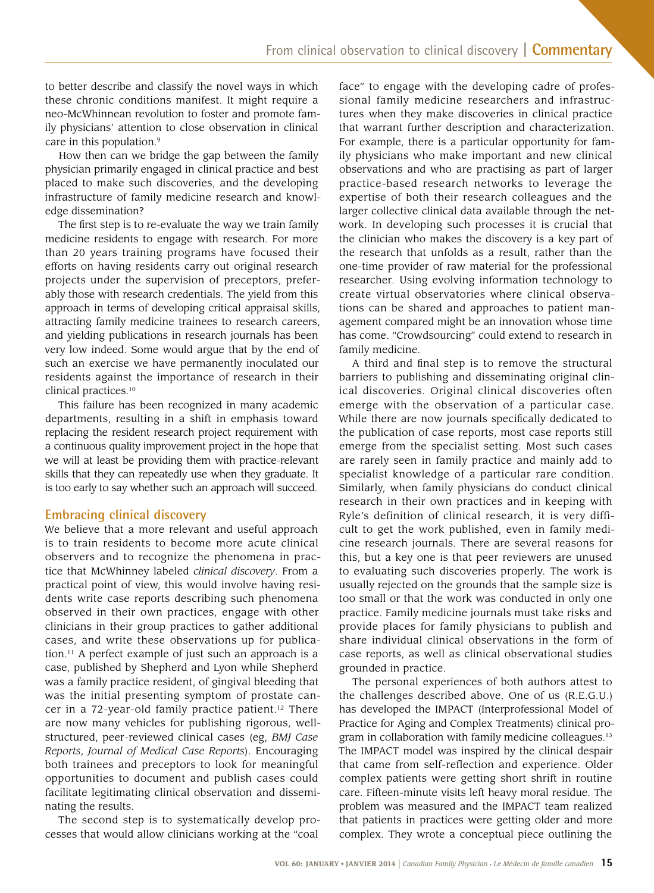to better describe and classify the novel ways in which these chronic conditions manifest. It might require a neo-McWhinnean revolution to foster and promote family physicians' attention to close observation in clinical care in this population.<sup>9</sup>

How then can we bridge the gap between the family physician primarily engaged in clinical practice and best placed to make such discoveries, and the developing infrastructure of family medicine research and knowledge dissemination?

The frst step is to re-evaluate the way we train family medicine residents to engage with research. For more than 20 years training programs have focused their efforts on having residents carry out original research projects under the supervision of preceptors, preferably those with research credentials. The yield from this approach in terms of developing critical appraisal skills, attracting family medicine trainees to research careers, and yielding publications in research journals has been very low indeed. Some would argue that by the end of such an exercise we have permanently inoculated our residents against the importance of research in their clinical [practices.10](https://practices.10) 

 we will at least be providing them with practice-relevant This failure has been recognized in many academic departments, resulting in a shift in emphasis toward replacing the resident research project requirement with a continuous quality improvement project in the hope that skills that they can repeatedly use when they graduate. It is too early to say whether such an approach will succeed.

## **Embracing clinical discovery**

 tice that McWhinney labeled *clinical discovery*. From a dents write case reports describing such phenomena We believe that a more relevant and useful approach is to train residents to become more acute clinical observers and to recognize the phenomena in pracpractical point of view, this would involve having resiobserved in their own practices, engage with other clinicians in their group practices to gather additional cases, and write these observations up for publication.<sup>11</sup> A perfect example of just such an approach is a case, published by Shepherd and Lyon while Shepherd was a family practice resident, of gingival bleeding that was the initial presenting symptom of prostate cancer in a 72-year-old family practice patient.<sup>12</sup> There are now many vehicles for publishing rigorous, wellstructured, peer-reviewed clinical cases (eg, *BMJ Case Reports*, *Journal of Medical Case Reports*). Encouraging both trainees and preceptors to look for meaningful opportunities to document and publish cases could facilitate legitimating clinical observation and disseminating the results.

The second step is to systematically develop processes that would allow clinicians working at the "coal

 ily physicians who make important and new clinical face" to engage with the developing cadre of professional family medicine researchers and infrastructures when they make discoveries in clinical practice that warrant further description and characterization. For example, there is a particular opportunity for famobservations and who are practising as part of larger practice-based research networks to leverage the expertise of both their research colleagues and the larger collective clinical data available through the network. In developing such processes it is crucial that the clinician who makes the discovery is a key part of the research that unfolds as a result, rather than the one-time provider of raw material for the professional researcher. Using evolving information technology to create virtual observatories where clinical observations can be shared and approaches to patient management compared might be an innovation whose time has come. "Crowdsourcing" could extend to research in family medicine.

 provide places for family physicians to publish and A third and fnal step is to remove the structural barriers to publishing and disseminating original clinical discoveries. Original clinical discoveries often emerge with the observation of a particular case. While there are now journals specifcally dedicated to the publication of case reports, most case reports still emerge from the specialist setting. Most such cases are rarely seen in family practice and mainly add to specialist knowledge of a particular rare condition. Similarly, when family physicians do conduct clinical research in their own practices and in keeping with Ryle's definition of clinical research, it is very difficult to get the work published, even in family medicine research journals. There are several reasons for this, but a key one is that peer reviewers are unused to evaluating such discoveries properly. The work is usually rejected on the grounds that the sample size is too small or that the work was conducted in only one practice. Family medicine journals must take risks and share individual clinical observations in the form of case reports, as well as clinical observational studies grounded in practice.

The personal experiences of both authors attest to the challenges described above. One of us (R.E.G.U.) has developed the IMPACT (Interprofessional Model of Practice for Aging and Complex Treatments) clinical program in collaboration with family medicine colleagues.<sup>13</sup> The IMPACT model was inspired by the clinical despair that came from self-reflection and experience. Older complex patients were getting short shrift in routine care. Fifteen-minute visits left heavy moral residue. The problem was measured and the IMPACT team realized that patients in practices were getting older and more complex. They wrote a conceptual piece outlining the